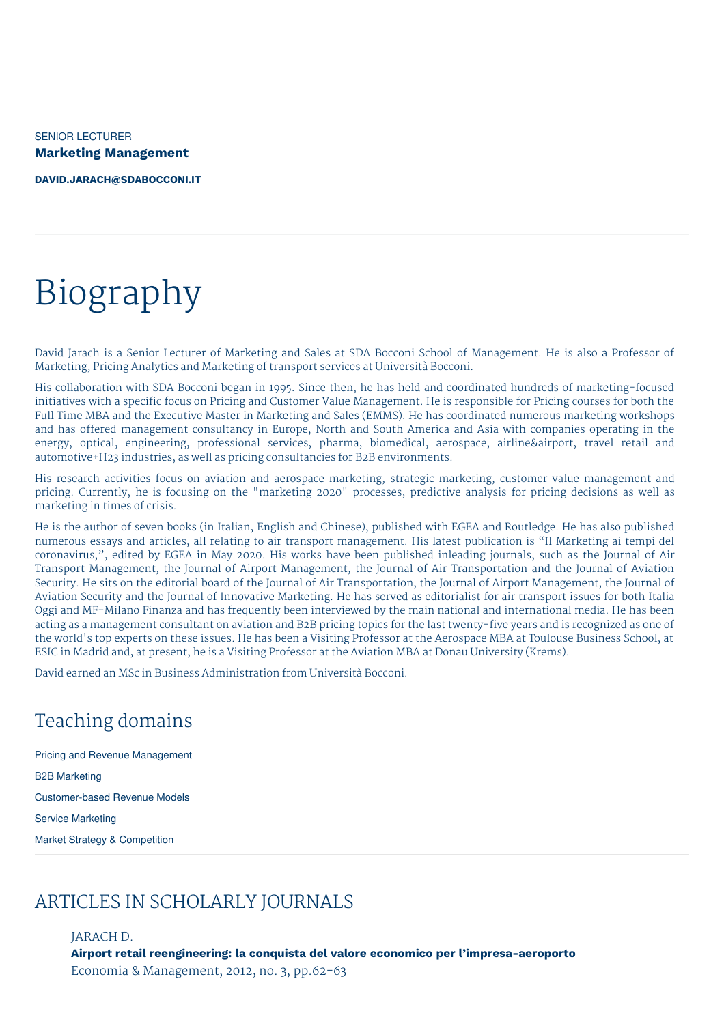SENIOR LECTURER **Marketing Management**

**[DAVID.JARACH@SDABOCCONI.IT](mailto:david.jarach@sdabocconi.it)**

# Biography

David Jarach is a Senior Lecturer of Marketing and Sales at SDA Bocconi School of Management. He is also a Professor of Marketing, Pricing Analytics and Marketing of transport services at Università Bocconi.

His collaboration with SDA Bocconi began in 1995. Since then, he has held and coordinated hundreds of marketing-focused initiatives with a specific focus on Pricing and Customer Value Management. He is responsible for Pricing courses for both the Full Time MBA and the Executive Master in Marketing and Sales (EMMS). He has coordinated numerous marketing workshops and has offered management consultancy in Europe, North and South America and Asia with companies operating in the energy, optical, engineering, professional services, pharma, biomedical, aerospace, airline&airport, travel retail and automotive+H23 industries, as well as pricing consultancies for B2B environments.

His research activities focus on aviation and aerospace marketing, strategic marketing, customer value management and pricing. Currently, he is focusing on the "marketing 2020" processes, predictive analysis for pricing decisions as well as marketing in times of crisis.

He is the author of seven books (in Italian, English and Chinese), published with EGEA and Routledge. He has also published numerous essays and articles, all relating to air transport management. His latest publication is "Il Marketing ai tempi del coronavirus,", edited by EGEA in May 2020. His works have been published inleading journals, such as the Journal of Air Transport Management, the Journal of Airport Management, the Journal of Air Transportation and the Journal of Aviation Security. He sits on the editorial board of the Journal of Air Transportation, the Journal of Airport Management, the Journal of Aviation Security and the Journal of Innovative Marketing. He has served as editorialist for air transport issues for both Italia Oggi and MF-Milano Finanza and has frequently been interviewed by the main national and international media. He has been acting as a management consultant on aviation and B2B pricing topics for the last twenty-five years and is recognized as one of the world's top experts on these issues. He has been a Visiting Professor at the Aerospace MBA at Toulouse Business School, at ESIC in Madrid and, at present, he is a Visiting Professor at the Aviation MBA at Donau University (Krems).

David earned an MSc in Business Administration from Università Bocconi.

# Teaching domains

Pricing and Revenue Management B2B Marketing Customer-based Revenue Models Service Marketing Market Strategy & Competition

# ARTICLES IN SCHOLARLY JOURNALS

JARACH D. **Airport retail reengineering: la conquista del valore economico per l'impresa-aeroporto** Economia & Management, 2012, no. 3, pp.62-63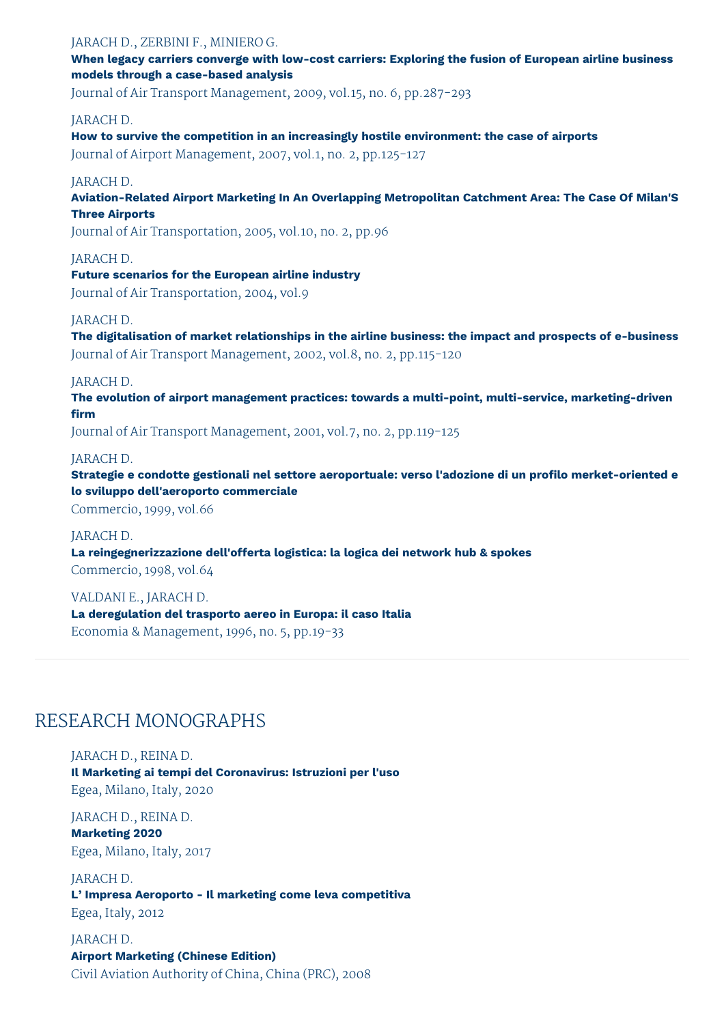#### JARACH D., ZERBINI F., MINIERO G.

**When legacy carriers converge with low-cost carriers: Exploring the fusion of European airline business models through a case-based analysis**

Journal of Air Transport Management, 2009, vol.15, no. 6, pp.287-293

#### JARACH D.

**How to survive the competition in an increasingly hostile environment: the case of airports** Journal of Airport Management, 2007, vol.1, no. 2, pp.125-127

#### JARACH D.

**Aviation-Related Airport Marketing In An Overlapping Metropolitan Catchment Area: The Case Of Milan'S Three Airports**

Journal of Air Transportation, 2005, vol.10, no. 2, pp.96

#### JARACH D.

**Future scenarios for the European airline industry** Journal of Air Transportation, 2004, vol.9

#### JARACH D.

**The digitalisation of market relationships in the airline business: the impact and prospects of e-business** Journal of Air Transport Management, 2002, vol.8, no. 2, pp.115-120

#### JARACH D.

**The evolution of airport management practices: towards a multi-point, multi-service, marketing-driven firm**

Journal of Air Transport Management, 2001, vol.7, no. 2, pp.119-125

#### JARACH D.

**Strategie e condotte gestionali nel settore aeroportuale: verso l'adozione di un profilo merket-oriented e lo sviluppo dell'aeroporto commerciale**

Commercio, 1999, vol.66

#### JARACH D.

**La reingegnerizzazione dell'offerta logistica: la logica dei network hub & spokes** Commercio, 1998, vol.64

VALDANI E., JARACH D. **La deregulation del trasporto aereo in Europa: il caso Italia**

Economia & Management, 1996, no. 5, pp.19-33

## RESEARCH MONOGRAPHS

JARACH D., REINA D. **Il Marketing ai tempi del Coronavirus: Istruzioni per l'uso** Egea, Milano, Italy, 2020

JARACH D., REINA D. **Marketing 2020** Egea, Milano, Italy, 2017

JARACH D. **L' Impresa Aeroporto - Il marketing come leva competitiva** Egea, Italy, 2012

JARACH D. **Airport Marketing (Chinese Edition)** Civil Aviation Authority of China, China (PRC), 2008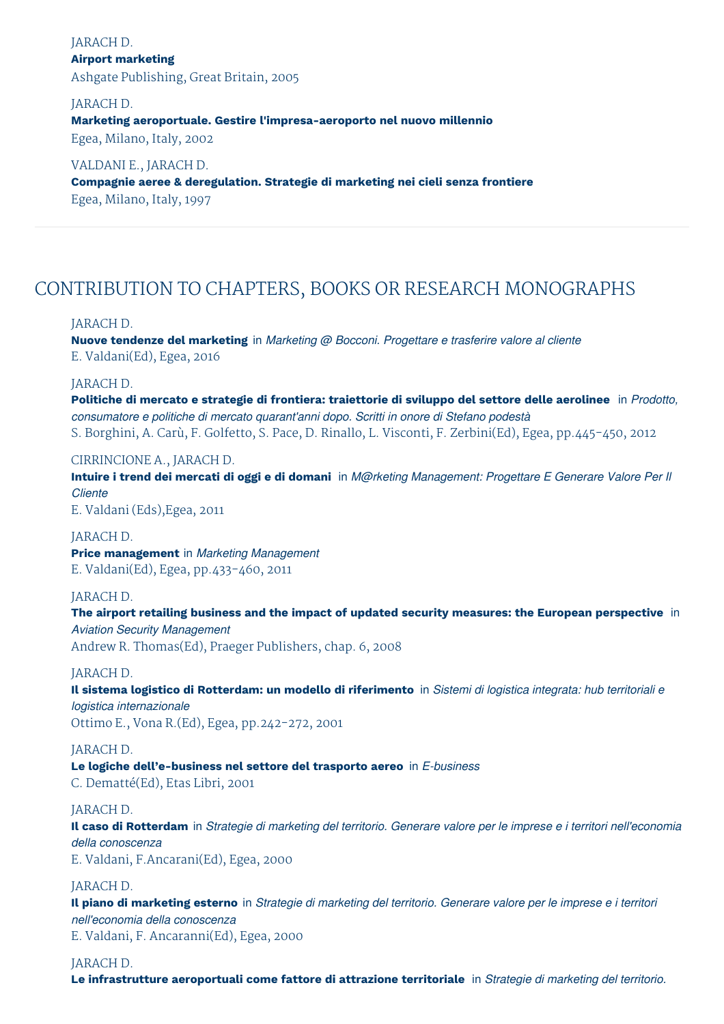#### JARACH D. **Airport marketing** Ashgate Publishing, Great Britain, 2005

#### JARACH D.

#### **Marketing aeroportuale. Gestire l'impresa-aeroporto nel nuovo millennio**

Egea, Milano, Italy, 2002

#### VALDANI E., JARACH D.

#### **Compagnie aeree & deregulation. Strategie di marketing nei cieli senza frontiere** Egea, Milano, Italy, 1997

# CONTRIBUTION TO CHAPTERS, BOOKS OR RESEARCH MONOGRAPHS

#### JARACH D.

**Nuove tendenze del marketing** in *Marketing @ Bocconi. Progettare e trasferire valore al cliente* E. Valdani(Ed), Egea, 2016

#### JARACH D.

**Politiche di mercato e strategie di frontiera: traiettorie di sviluppo del settore delle aerolinee** in *Prodotto, consumatore e politiche di mercato quarant'anni dopo. Scritti in onore di Stefano podestà* S. Borghini, A. Carù, F. Golfetto, S. Pace, D. Rinallo, L. Visconti, F. Zerbini(Ed), Egea, pp.445-450, 2012

#### CIRRINCIONE A., JARACH D.

Intuire i trend dei mercati di oggi e di domani in M@rketing Management: Progettare E Generare Valore Per II *Cliente*

E. Valdani (Eds),Egea, 2011

JARACH D. **Price management** in *Marketing Management* E. Valdani(Ed), Egea, pp.433-460, 2011

#### JARACH D.

**The airport retailing business and the impact of updated security measures: the European perspective** in *Aviation Security Management*

Andrew R. Thomas(Ed), Praeger Publishers, chap. 6, 2008

#### JARACH D.

Il sistema logistico di Rotterdam: un modello di riferimento in Sistemi di logistica integrata: hub territoriali e *logistica internazionale* Ottimo E., Vona R.(Ed), Egea, pp.242-272, 2001

### JARACH D.

**Le logiche dell'e-business nel settore del trasporto aereo** in *E-business* C. Dematté(Ed), Etas Libri, 2001

#### JARACH D.

Il caso di Rotterdam in Strategie di marketing del territorio. Generare valore per le imprese e i territori nell'economia *della conoscenza* E. Valdani, F.Ancarani(Ed), Egea, 2000

#### JARACH D.

Il piano di marketing esterno in Strategie di marketing del territorio. Generare valore per le imprese e i territori *nell'economia della conoscenza* E. Valdani, F. Ancaranni(Ed), Egea, 2000

#### JARACH D.

**Le infrastrutture aeroportuali come fattore di attrazione territoriale** in *Strategie di marketing del territorio.*